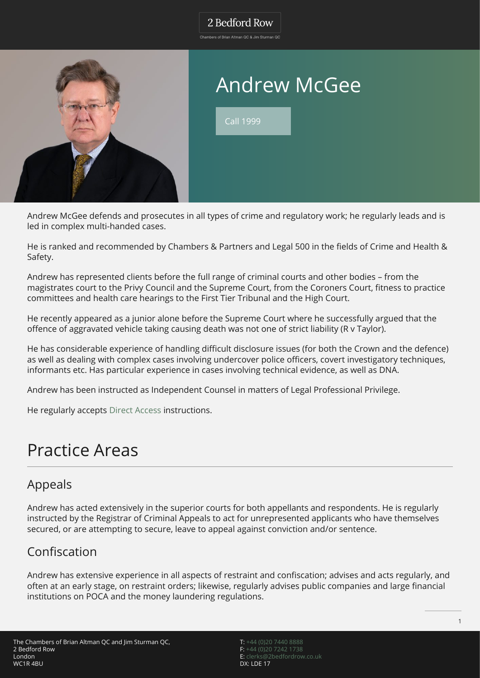#### 2 Bedford Row

Chambers of Brian Altman QC & Jim Sturman QC



# Andrew McGee

Call 1999

Andrew McGee defends and prosecutes in all types of crime and regulatory work; he regularly leads and is led in complex multi-handed cases.

He is ranked and recommended by Chambers & Partners and Legal 500 in the fields of Crime and Health & Safety.

Andrew has represented clients before the full range of criminal courts and other bodies – from the magistrates court to the Privy Council and the Supreme Court, from the Coroners Court, fitness to practice committees and health care hearings to the First Tier Tribunal and the High Court.

He recently appeared as a junior alone before the Supreme Court where he successfully argued that the offence of aggravated vehicle taking causing death was not one of strict liability (R v Taylor).

He has considerable experience of handling difficult disclosure issues (for both the Crown and the defence) as well as dealing with complex cases involving undercover police officers, covert investigatory techniques, informants etc. Has particular experience in cases involving technical evidence, as well as DNA.

Andrew has been instructed as Independent Counsel in matters of Legal Professional Privilege.

He regularly accepts [Direct Access](http://www.2bedfordrow.co.uk/direct-access/) instructions.

## Practice Areas

#### Appeals

Andrew has acted extensively in the superior courts for both appellants and respondents. He is regularly instructed by the Registrar of Criminal Appeals to act for unrepresented applicants who have themselves secured, or are attempting to secure, leave to appeal against conviction and/or sentence.

### Confiscation

Andrew has extensive experience in all aspects of restraint and confiscation; advises and acts regularly, and often at an early stage, on restraint orders; likewise, regularly advises public companies and large financial institutions on POCA and the money laundering regulations.

T: [+44 \(0\)20 7440 8888](#page--1-0) F: [+44 \(0\)20 7242 1738](#page--1-0) E: [clerks@2bedfordrow.co.uk](mailto:clerks@2bedfordrow.co.uk) DX: LDE 17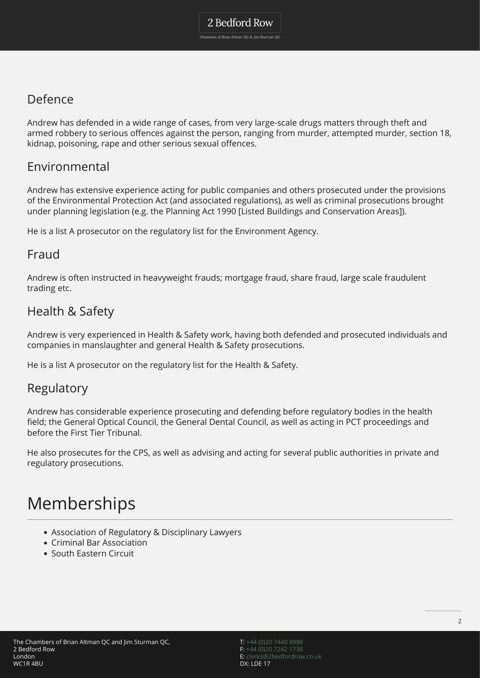### Defence

Andrew has defended in a wide range of cases, from very large-scale drugs matters through theft and armed robbery to serious offences against the person, ranging from murder, attempted murder, section 18, kidnap, poisoning, rape and other serious sexual offences.

#### Environmental

Andrew has extensive experience acting for public companies and others prosecuted under the provisions of the Environmental Protection Act (and associated regulations), as well as criminal prosecutions brought under planning legislation (e.g. the Planning Act 1990 [Listed Buildings and Conservation Areas]).

He is a list A prosecutor on the regulatory list for the Environment Agency.

#### Fraud

Andrew is often instructed in heavyweight frauds; mortgage fraud, share fraud, large scale fraudulent trading etc.

### Health & Safety

Andrew is very experienced in Health & Safety work, having both defended and prosecuted individuals and companies in manslaughter and general Health & Safety prosecutions.

He is a list A prosecutor on the regulatory list for the Health & Safety.

#### Regulatory

Andrew has considerable experience prosecuting and defending before regulatory bodies in the health field; the General Optical Council, the General Dental Council, as well as acting in PCT proceedings and before the First Tier Tribunal.

He also prosecutes for the CPS, as well as advising and acting for several public authorities in private and regulatory prosecutions.

## Memberships

- Association of Regulatory & Disciplinary Lawyers
- Criminal Bar Association
- South Eastern Circuit